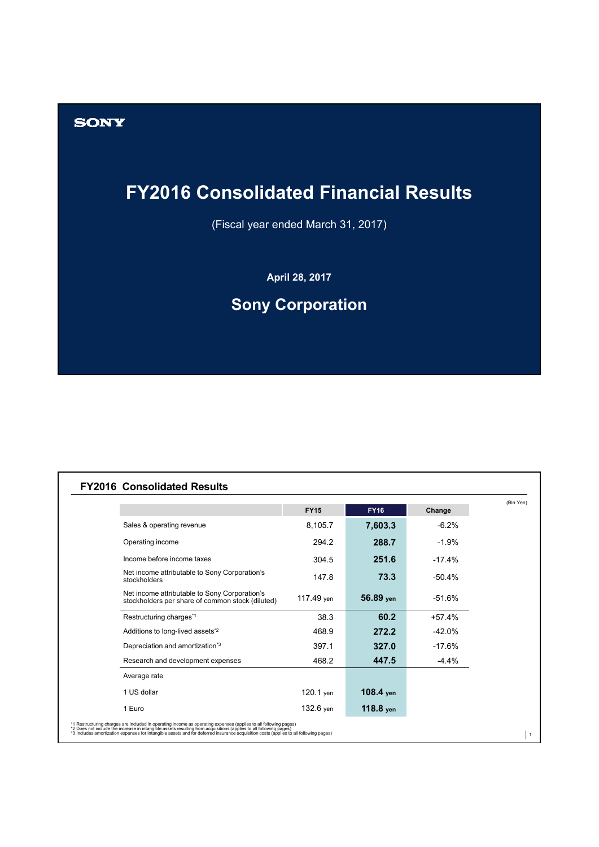

(Fiscal year ended March 31, 2017)

**April 28, 2017**

# **Sony Corporation**

#### **FY2016 Consolidated Results**

**SONY** 

|                                                                                                   | <b>FY15</b> | <b>FY16</b> | Change   |
|---------------------------------------------------------------------------------------------------|-------------|-------------|----------|
| Sales & operating revenue                                                                         | 8,105.7     | 7,603.3     | $-6.2%$  |
| Operating income                                                                                  | 294.2       | 288.7       | $-1.9%$  |
| Income before income taxes                                                                        | 304.5       | 251.6       | $-17.4%$ |
| Net income attributable to Sony Corporation's<br>stockholders                                     | 147.8       | 73.3        | -50.4%   |
| Net income attributable to Sony Corporation's<br>stockholders per share of common stock (diluted) | 117.49 yen  | 56.89 yen   | -51.6%   |
| Restructuring charges*1                                                                           | 38.3        | 60.2        | $+57.4%$ |
| Additions to long-lived assets <sup>*2</sup>                                                      | 468.9       | 272.2       | $-42.0%$ |
| Depreciation and amortization <sup>*3</sup>                                                       | 397.1       | 327.0       | $-17.6%$ |
| Research and development expenses                                                                 | 468.2       | 447.5       | $-4.4%$  |
| Average rate                                                                                      |             |             |          |
| 1 US dollar                                                                                       | 120.1 yen   | $108.4$ yen |          |
| 1 Euro                                                                                            | 132.6 yen   | $118.8$ yen |          |

\*1 Restructuring charges are included in operating income as operating expenses (applies to all following pages)<br>\*2 Does not include the increase in intanglibe assets resulting from acquisitions (applies to all following p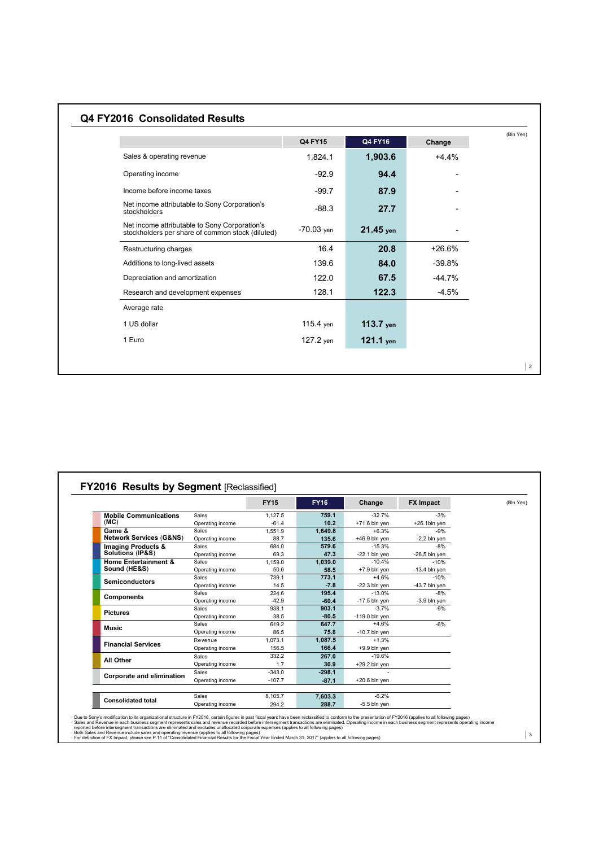# **Q4 FY2016 Consolidated Results**

|                                                                                                   | <b>Q4 FY15</b> | Q4 FY16     | Change   |
|---------------------------------------------------------------------------------------------------|----------------|-------------|----------|
| Sales & operating revenue                                                                         | 1,824.1        | 1,903.6     | $+4.4%$  |
| Operating income                                                                                  | $-92.9$        | 94.4        |          |
| Income before income taxes                                                                        | $-99.7$        | 87.9        |          |
| Net income attributable to Sony Corporation's<br>stockholders                                     | $-88.3$        | 27.7        |          |
| Net income attributable to Sony Corporation's<br>stockholders per share of common stock (diluted) | $-70.03$ yen   | $21.45$ yen |          |
| Restructuring charges                                                                             | 16.4           | 20.8        | $+26.6%$ |
| Additions to long-lived assets                                                                    | 139.6          | 84.0        | $-39.8%$ |
| Depreciation and amortization                                                                     | 122.0          | 67.5        | $-44.7%$ |
| Research and development expenses                                                                 | 128.1          | 122.3       | $-4.5%$  |
| Average rate                                                                                      |                |             |          |
| 1 US dollar                                                                                       | 115.4 yen      | $113.7$ yen |          |
| 1 Euro                                                                                            | 127.2 yen      | $121.1$ yen |          |

| Sales<br>Operating income<br>Sales<br>Operating income<br>Sales<br>Operating income<br><b>Sales</b><br>Operating income<br><b>Sales</b><br>Operating income<br><b>Sales</b><br>Operating income<br>Sales | 1.127.5<br>$-61.4$<br>1.551.9<br>88.7<br>684.0<br>69.3<br>1.159.0<br>50.6<br>739.1<br>14.5<br>224.6<br>$-42.9$ | 759.1<br>10.2<br>1,649.8<br>135.6<br>579.6<br>47.3<br>1.039.0<br>58.5<br>773.1<br>$-7.8$<br>195.4<br>$-60.4$ | $-32.7%$<br>$+71.6$ bln yen<br>$+6.3%$<br>$+46.9$ bln yen<br>$-15.3%$<br>$-22.1$ bln ven<br>$-10.4%$<br>$+7.9$ bln yen<br>$+4.6%$<br>$-22.3$ bln yen<br>$-13.0%$<br>$-17.5$ bln yen | $-3%$<br>+26.1bln yen<br>$-9%$<br>$-2.2$ bln yen<br>$-8%$<br>$-26.5$ bln yen<br>$-10%$<br>$-13.4$ bln yen<br>$-10%$<br>$-43.7$ bln yen<br>$-8%$ |  |
|----------------------------------------------------------------------------------------------------------------------------------------------------------------------------------------------------------|----------------------------------------------------------------------------------------------------------------|--------------------------------------------------------------------------------------------------------------|-------------------------------------------------------------------------------------------------------------------------------------------------------------------------------------|-------------------------------------------------------------------------------------------------------------------------------------------------|--|
|                                                                                                                                                                                                          |                                                                                                                |                                                                                                              |                                                                                                                                                                                     |                                                                                                                                                 |  |
|                                                                                                                                                                                                          |                                                                                                                |                                                                                                              |                                                                                                                                                                                     |                                                                                                                                                 |  |
|                                                                                                                                                                                                          |                                                                                                                |                                                                                                              |                                                                                                                                                                                     |                                                                                                                                                 |  |
|                                                                                                                                                                                                          |                                                                                                                |                                                                                                              |                                                                                                                                                                                     |                                                                                                                                                 |  |
|                                                                                                                                                                                                          |                                                                                                                |                                                                                                              |                                                                                                                                                                                     |                                                                                                                                                 |  |
|                                                                                                                                                                                                          |                                                                                                                |                                                                                                              |                                                                                                                                                                                     |                                                                                                                                                 |  |
|                                                                                                                                                                                                          |                                                                                                                |                                                                                                              |                                                                                                                                                                                     |                                                                                                                                                 |  |
|                                                                                                                                                                                                          |                                                                                                                |                                                                                                              |                                                                                                                                                                                     |                                                                                                                                                 |  |
|                                                                                                                                                                                                          |                                                                                                                |                                                                                                              |                                                                                                                                                                                     |                                                                                                                                                 |  |
|                                                                                                                                                                                                          |                                                                                                                |                                                                                                              |                                                                                                                                                                                     |                                                                                                                                                 |  |
|                                                                                                                                                                                                          |                                                                                                                |                                                                                                              |                                                                                                                                                                                     |                                                                                                                                                 |  |
|                                                                                                                                                                                                          |                                                                                                                |                                                                                                              |                                                                                                                                                                                     | $-3.9$ bln yen                                                                                                                                  |  |
|                                                                                                                                                                                                          | 938.1                                                                                                          | 903.1                                                                                                        | $-3.7%$                                                                                                                                                                             | $-9%$                                                                                                                                           |  |
| Operating income                                                                                                                                                                                         | 38.5                                                                                                           | $-80.5$                                                                                                      | $-119.0$ bln yen                                                                                                                                                                    |                                                                                                                                                 |  |
| Sales                                                                                                                                                                                                    | 619.2                                                                                                          | 647.7                                                                                                        | $+4.6%$                                                                                                                                                                             | $-6%$                                                                                                                                           |  |
| Operating income                                                                                                                                                                                         | 86.5                                                                                                           | 75.8                                                                                                         | $-10.7$ bln ven                                                                                                                                                                     |                                                                                                                                                 |  |
| Revenue                                                                                                                                                                                                  | 1.073.1                                                                                                        | 1.087.5                                                                                                      | $+1.3%$                                                                                                                                                                             |                                                                                                                                                 |  |
| Operating income                                                                                                                                                                                         | 156.5                                                                                                          | 166.4                                                                                                        | $+9.9$ bln ven                                                                                                                                                                      |                                                                                                                                                 |  |
| <b>Sales</b>                                                                                                                                                                                             | 332.2                                                                                                          | 267.0                                                                                                        | $-19.6%$                                                                                                                                                                            |                                                                                                                                                 |  |
|                                                                                                                                                                                                          | 1.7                                                                                                            | 30.9                                                                                                         | $+29.2$ bln yen                                                                                                                                                                     |                                                                                                                                                 |  |
|                                                                                                                                                                                                          | $-343.0$                                                                                                       | $-298.1$                                                                                                     | $\overline{a}$                                                                                                                                                                      |                                                                                                                                                 |  |
|                                                                                                                                                                                                          | $-107.7$                                                                                                       | $-87.1$                                                                                                      | $+20.6$ bln yen                                                                                                                                                                     |                                                                                                                                                 |  |
|                                                                                                                                                                                                          |                                                                                                                |                                                                                                              |                                                                                                                                                                                     |                                                                                                                                                 |  |
|                                                                                                                                                                                                          |                                                                                                                |                                                                                                              |                                                                                                                                                                                     |                                                                                                                                                 |  |
|                                                                                                                                                                                                          | Operating income<br>Sales<br>Operating income<br>Sales                                                         | 8.105.7                                                                                                      | 7,603.3                                                                                                                                                                             | $-6.2%$                                                                                                                                         |  |

· Due to Sony's modification to its organizational structure in FY2016, certain figures in past fiscal years have been reclassified to conform to the presentation of FY2016 (applies to all following pages)<br>· Sales and Rev

 $\vert$  2

3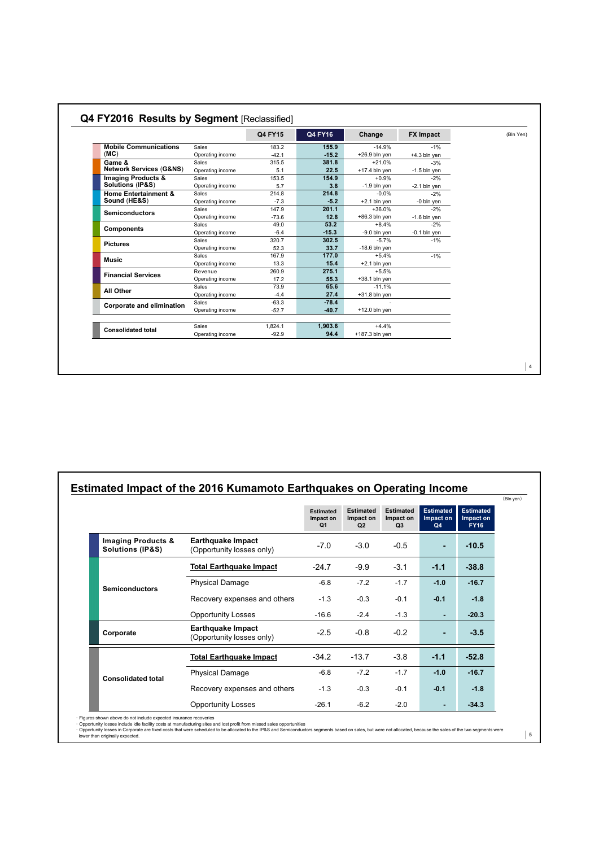|                                    |                  | Q4 FY15 | Q4 FY16 | Change           | <b>FX Impact</b> | (Bln Yen) |
|------------------------------------|------------------|---------|---------|------------------|------------------|-----------|
| <b>Mobile Communications</b>       | Sales            | 183.2   | 155.9   | $-14.9%$         | $-1%$            |           |
| (MC)                               | Operating income | $-42.1$ | $-15.2$ | $+26.9$ bln yen  | $+4.3$ bln yen   |           |
| Game &                             | Sales            | 315.5   | 381.8   | $+21.0%$         | $-3%$            |           |
| <b>Network Services (G&amp;NS)</b> | Operating income | 5.1     | 22.5    | $+17.4$ bln yen  | $-1.5$ bln yen   |           |
| <b>Imaging Products &amp;</b>      | Sales            | 153.5   | 154.9   | $+0.9%$          | $-2%$            |           |
| Solutions (IP&S)                   | Operating income | 5.7     | 3.8     | $-1.9$ bln yen   | $-2.1$ bln yen   |           |
| <b>Home Entertainment &amp;</b>    | Sales            | 214.8   | 214.8   | $-0.0%$          | $-2%$            |           |
| Sound (HE&S)                       | Operating income | $-7.3$  | $-5.2$  | $+2.1$ bln yen   | -0 bln yen       |           |
|                                    | Sales            | 147.9   | 201.1   | $+36.0%$         | $-2%$            |           |
| <b>Semiconductors</b>              | Operating income | $-73.6$ | 12.8    | $+86.3$ bln yen  | $-1.6$ bln yen   |           |
|                                    | Sales            | 49.0    | 53.2    | $+8.4%$          | $-2%$            |           |
| <b>Components</b>                  | Operating income | $-6.4$  | $-15.3$ | $-9.0$ bln yen   | $-0.1$ bln yen   |           |
|                                    | <b>Sales</b>     | 320.7   | 302.5   | $-5.7%$          | $-1%$            |           |
| <b>Pictures</b>                    | Operating income | 52.3    | 33.7    | $-18.6$ bln yen  |                  |           |
|                                    | Sales            | 167.9   | 177.0   | $+5.4%$          | $-1%$            |           |
| Music                              | Operating income | 13.3    | 15.4    | $+2.1$ bln yen   |                  |           |
| <b>Financial Services</b>          | Revenue          | 260.9   | 275.1   | $+5.5%$          |                  |           |
|                                    | Operating income | 17.2    | 55.3    | $+38.1$ bln yen  |                  |           |
|                                    | Sales            | 73.9    | 65.6    | $-11.1%$         |                  |           |
| All Other                          | Operating income | $-4.4$  | 27.4    | $+31.8$ bln yen  |                  |           |
| Corporate and elimination          | Sales            | $-63.3$ | $-78.4$ | $\sim$           |                  |           |
|                                    | Operating income | $-52.7$ | $-40.7$ | $+12.0$ bln yen  |                  |           |
|                                    | Sales            | 1.824.1 | 1,903.6 | $+4.4%$          |                  |           |
| <b>Consolidated total</b>          | Operating income | $-92.9$ | 94.4    | $+187.3$ bln yen |                  |           |

| Estimated Impact of the 2016 Kumamoto Earthquakes on Operating Income |  |  |      |
|-----------------------------------------------------------------------|--|--|------|
|                                                                       |  |  | (Bln |
|                                                                       |  |  |      |

|                                                   |                                                       | <b>Estimated</b><br>Impact on<br>Q <sub>1</sub> | <b>Estimated</b><br>Impact on<br>Q2 | <b>Estimated</b><br>Impact on<br>Q <sub>3</sub> | Estimated<br>Impact on<br>Q4 | <b>Estimated</b><br>Impact on<br><b>FY16</b> |
|---------------------------------------------------|-------------------------------------------------------|-------------------------------------------------|-------------------------------------|-------------------------------------------------|------------------------------|----------------------------------------------|
| Imaging Products &<br><b>Solutions (IP&amp;S)</b> | <b>Earthquake Impact</b><br>(Opportunity losses only) | $-7.0$                                          | $-3.0$                              | $-0.5$                                          | ٠                            | $-10.5$                                      |
|                                                   | <b>Total Earthquake Impact</b>                        | $-24.7$                                         | $-9.9$                              | $-3.1$                                          | $-1.1$                       | $-38.8$                                      |
| <b>Semiconductors</b>                             | <b>Physical Damage</b>                                | $-6.8$                                          | $-7.2$                              | $-1.7$                                          | $-1.0$                       | $-16.7$                                      |
|                                                   | Recovery expenses and others                          | $-1.3$                                          | $-0.3$                              | $-0.1$                                          | $-0.1$                       | $-1.8$                                       |
|                                                   | <b>Opportunity Losses</b>                             | $-16.6$                                         | $-2.4$                              | $-1.3$                                          | ٠                            | $-20.3$                                      |
| Corporate                                         | <b>Earthquake Impact</b><br>(Opportunity losses only) | $-2.5$                                          | $-0.8$                              | $-0.2$                                          | ٠                            | $-3.5$                                       |
|                                                   | <b>Total Earthquake Impact</b>                        | $-34.2$                                         | $-13.7$                             | $-3.8$                                          | $-1.1$                       | $-52.8$                                      |
| <b>Consolidated total</b>                         | <b>Physical Damage</b>                                | $-6.8$                                          | $-7.2$                              | $-1.7$                                          | $-1.0$                       | $-16.7$                                      |
|                                                   | Recovery expenses and others                          | $-1.3$                                          | $-0.3$                              | $-0.1$                                          | $-0.1$                       | $-1.8$                                       |
|                                                   | <b>Opportunity Losses</b>                             | $-26.1$                                         | $-6.2$                              | $-2.0$                                          | ٠                            | $-34.3$                                      |

· Figures shown above do not include expected insurance recoveries<br>· Opportunity losses inclore idle facility costs at manufacturing sites and lost profit from missed sales opportunities<br>· Opportunity losses in Corporate a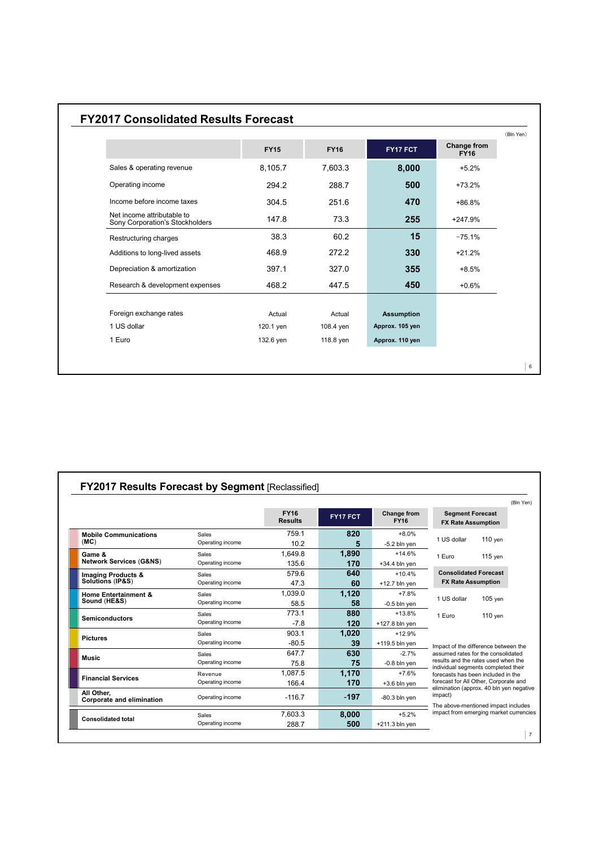### **FY2017 Consolidated Results Forecast**

|                                                               | <b>FY15</b> | <b>FY16</b> | FY17 FCT          | Change from<br><b>FY16</b> |
|---------------------------------------------------------------|-------------|-------------|-------------------|----------------------------|
| Sales & operating revenue                                     | 8,105.7     | 7,603.3     | 8,000             | $+5.2%$                    |
| Operating income                                              | 294.2       | 288.7       | 500               | $+73.2%$                   |
| Income before income taxes                                    | 304.5       | 251.6       | 470               | $+86.8%$                   |
| Net income attributable to<br>Sony Corporation's Stockholders | 147.8       | 73.3        | 255               | $+247.9%$                  |
| Restructuring charges                                         | 38.3        | 60.2        | 15                | $-75.1%$                   |
| Additions to long-lived assets                                | 468.9       | 272.2       | 330               | $+21.2%$                   |
| Depreciation & amortization                                   | 397.1       | 327.0       | 355               | $+8.5%$                    |
| Research & development expenses                               | 468.2       | 447.5       | 450               | $+0.6%$                    |
|                                                               |             |             |                   |                            |
| Foreign exchange rates                                        | Actual      | Actual      | <b>Assumption</b> |                            |
| 1 US dollar                                                   | 120.1 yen   | 108.4 yen   | Approx. 105 yen   |                            |
| 1 Euro                                                        | 132.6 yen   | 118.8 yen   | Approx. 110 yen   |                            |

|                                                 |                  |                               |          |                            |                                                                                                                                                          |           | (Bln Yen) |
|-------------------------------------------------|------------------|-------------------------------|----------|----------------------------|----------------------------------------------------------------------------------------------------------------------------------------------------------|-----------|-----------|
|                                                 |                  | <b>FY16</b><br><b>Results</b> | FY17 FCT | Change from<br><b>FY16</b> | <b>Segment Forecast</b><br><b>FX Rate Assumption</b>                                                                                                     |           |           |
| <b>Mobile Communications</b>                    | Sales            | 759.1                         | 820      | $+8.0%$                    |                                                                                                                                                          |           |           |
| (MC)                                            | Operating income | 10.2                          | 5        | $-5.2$ bln yen             | 1 US dollar                                                                                                                                              | $110$ yen |           |
| Game &                                          | Sales            | 1.649.8                       | 1,890    | $+14.6%$                   | 1 Euro                                                                                                                                                   | $115$ yen |           |
| <b>Network Services (G&amp;NS)</b>              | Operating income | 135.6                         | 170      | $+34.4$ bln yen            |                                                                                                                                                          |           |           |
| <b>Imaging Products &amp;</b>                   | Sales            | 579.6                         | 640      | $+10.4%$                   | <b>Consolidated Forecast</b><br><b>FX Rate Assumption</b>                                                                                                |           |           |
| Solutions (IP&S)                                | Operating income | 47.3                          | 60       | $+12.7$ bln yen            |                                                                                                                                                          |           |           |
| <b>Home Entertainment &amp;</b><br>Sound (HE&S) | Sales            | 1.039.0                       | 1,120    | $+7.8%$                    |                                                                                                                                                          | $105$ yen |           |
|                                                 | Operating income | 58.5                          | 58       | $-0.5$ bln yen             | 1 US dollar                                                                                                                                              |           |           |
| <b>Semiconductors</b>                           | Sales            | 773.1                         | 880      | $+13.8%$                   | 1 Euro                                                                                                                                                   | $110$ yen |           |
|                                                 | Operating income | $-7.8$                        | 120      | $+127.8$ bln yen           |                                                                                                                                                          |           |           |
|                                                 | Sales            | 903.1                         | 1,020    | $+12.9%$                   |                                                                                                                                                          |           |           |
| <b>Pictures</b>                                 | Operating income | $-80.5$                       | 39       | $+119.5$ bln yen           | Impact of the difference between the<br>assumed rates for the consolidated<br>results and the rates used when the<br>individual segments completed their |           |           |
|                                                 | Sales            | 647.7                         | 630      | $-2.7%$                    |                                                                                                                                                          |           |           |
| Music                                           | Operating income | 75.8                          | 75       | $-0.8$ bln yen             |                                                                                                                                                          |           |           |
|                                                 | Revenue          | 1.087.5                       | 1,170    | $+7.6%$                    | forecasts has been included in the                                                                                                                       |           |           |
| <b>Financial Services</b>                       | Operating income | 166.4                         | 170      | $+3.6$ bln yen             | forecast for All Other, Corporate and                                                                                                                    |           |           |
| All Other.<br>Corporate and elimination         | Operating income | $-116.7$                      | $-197$   | $-80.3$ bln yen            | elimination (approx. 40 bln yen negative<br>impact)                                                                                                      |           |           |
|                                                 | Sales            | 7.603.3                       | 8,000    | $+5.2%$                    | The above-mentioned impact includes<br>impact from emerging market currencies                                                                            |           |           |
| <b>Consolidated total</b>                       | Operating income | 288.7                         | 500      | $+211.3$ bln yen           |                                                                                                                                                          |           |           |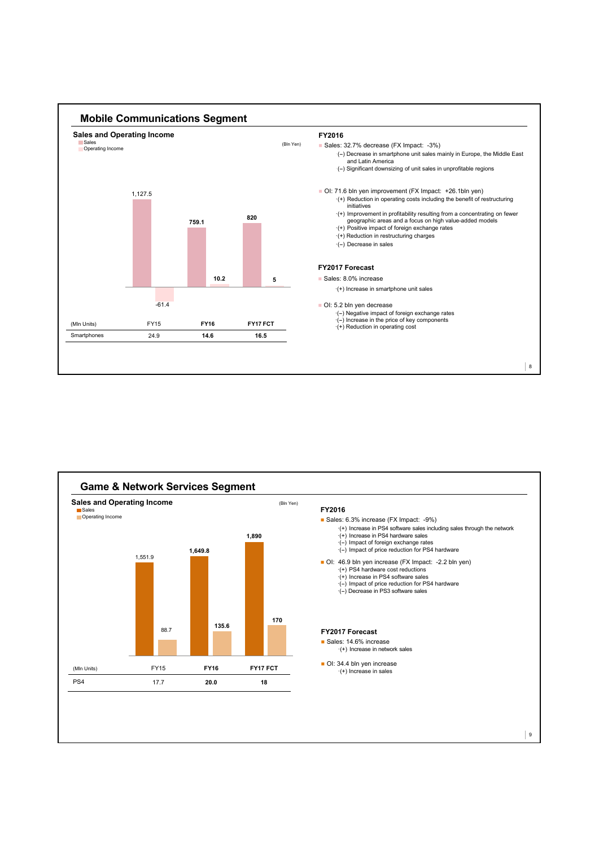

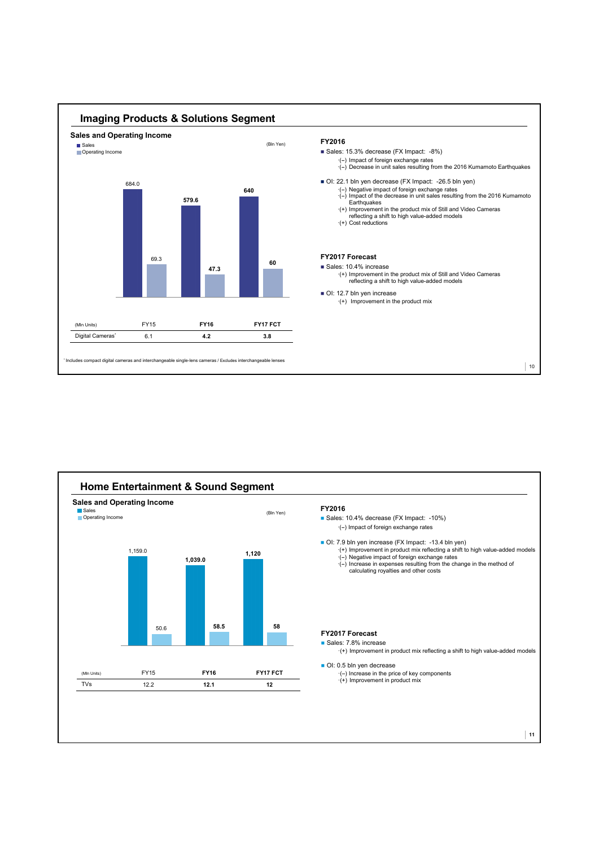

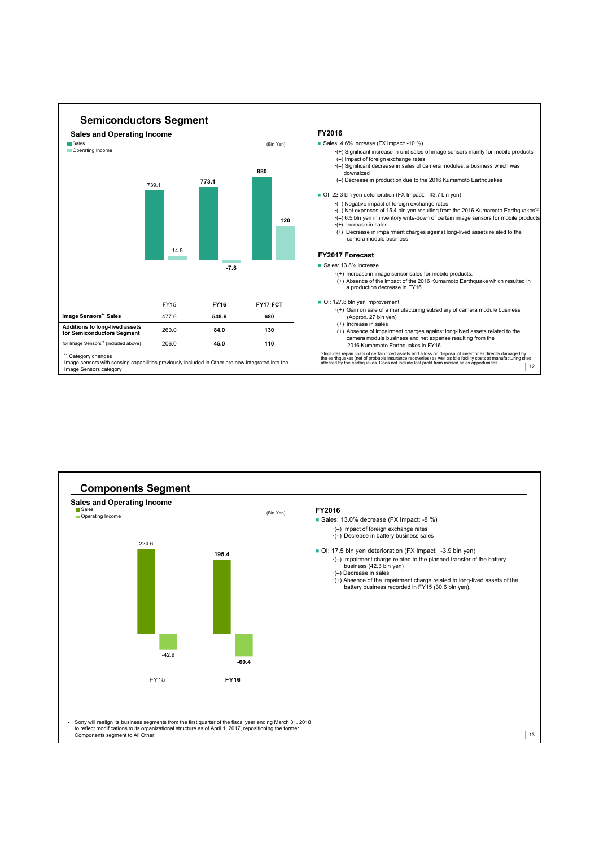

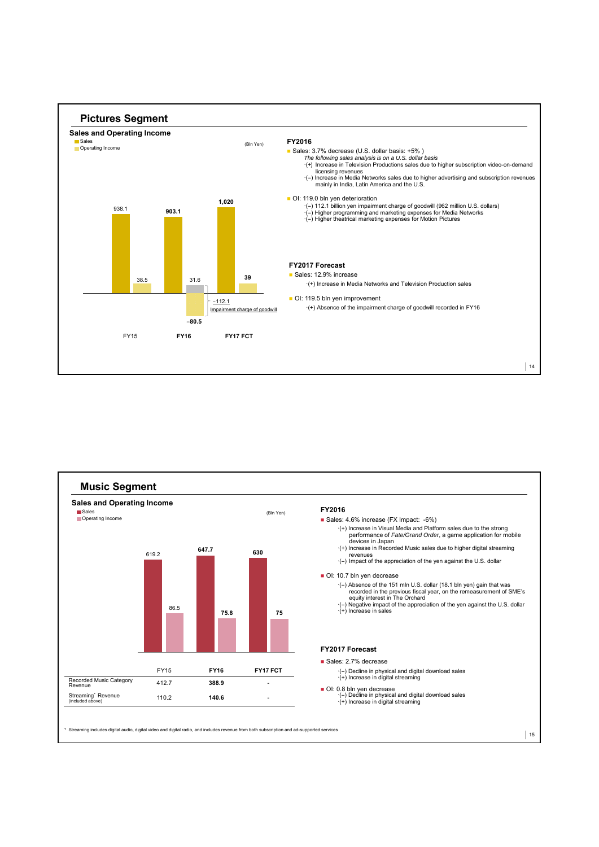



\*1 Streaming includes digital audio, digital video and digital radio, and includes revenue from both subscription and ad-supported services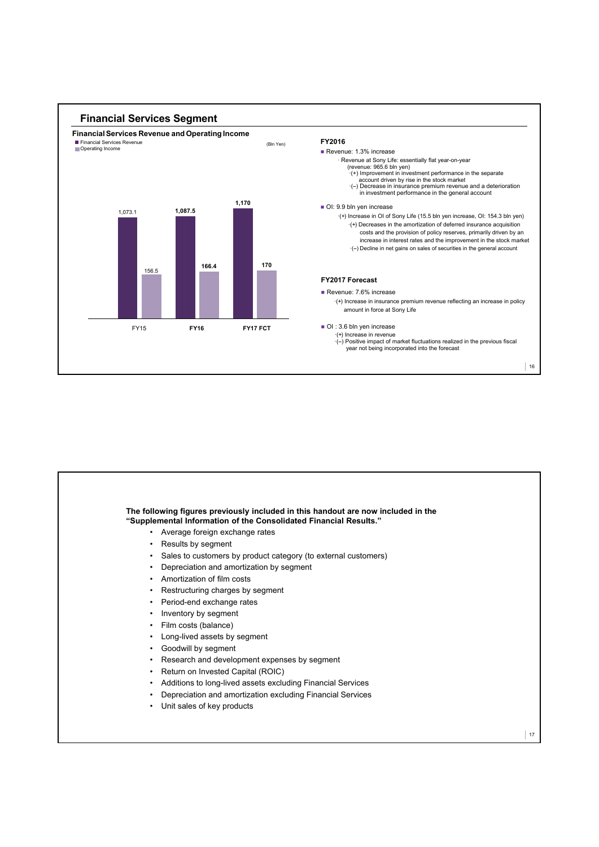

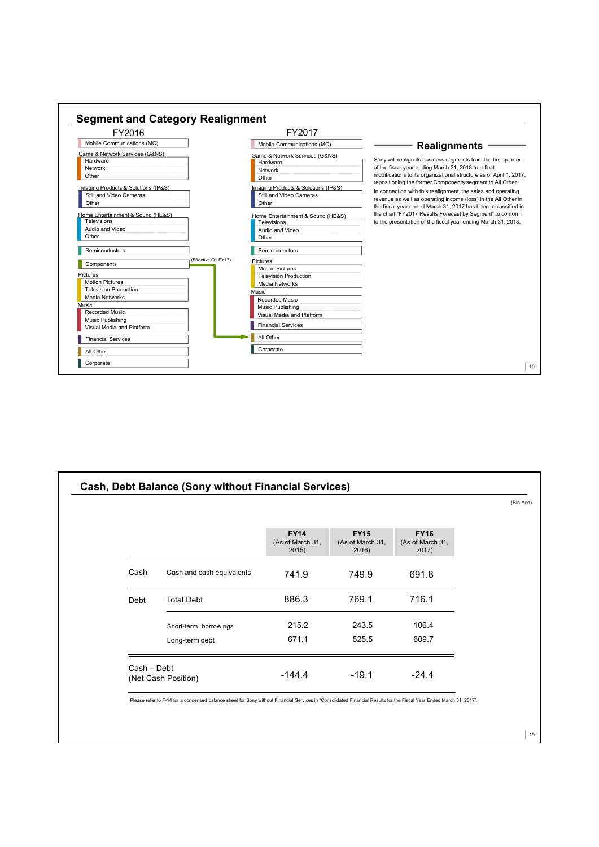

|             |                           |                                          |                                         |                                          | (Bln Yen) |
|-------------|---------------------------|------------------------------------------|-----------------------------------------|------------------------------------------|-----------|
|             |                           | <b>FY14</b><br>(As of March 31,<br>2015) | <b>FY15</b><br>(As of March 31,<br>2016 | <b>FY16</b><br>(As of March 31,<br>2017) |           |
| Cash        | Cash and cash equivalents | 741.9                                    | 749.9                                   | 691.8                                    |           |
| Debt        | <b>Total Debt</b>         | 886.3                                    | 769.1                                   | 716.1                                    |           |
|             | Short-term borrowings     | 215.2                                    | 243.5                                   | 106.4                                    |           |
|             | Long-term debt            | 671.1                                    | 525.5                                   | 609.7                                    |           |
| Cash - Debt | (Net Cash Position)       | $-144.4$                                 | $-19.1$                                 | $-24.4$                                  |           |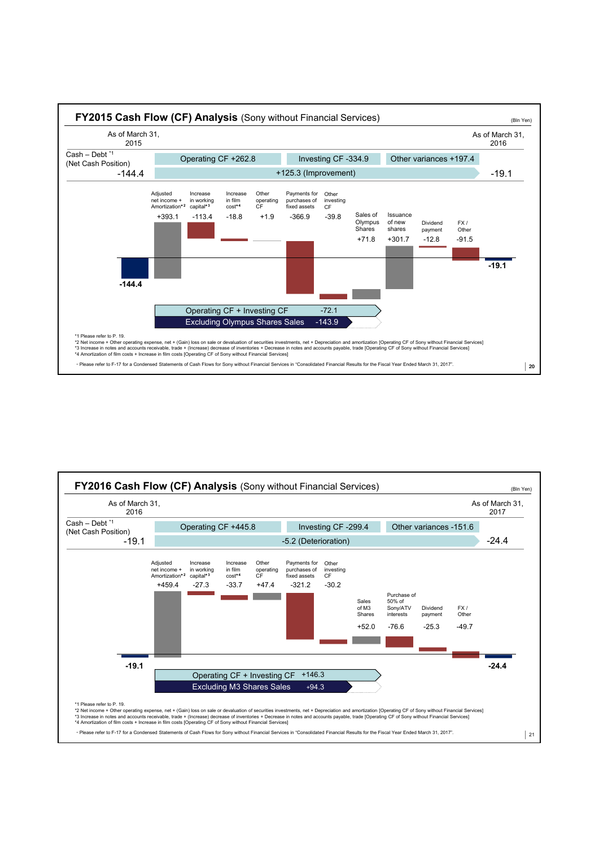